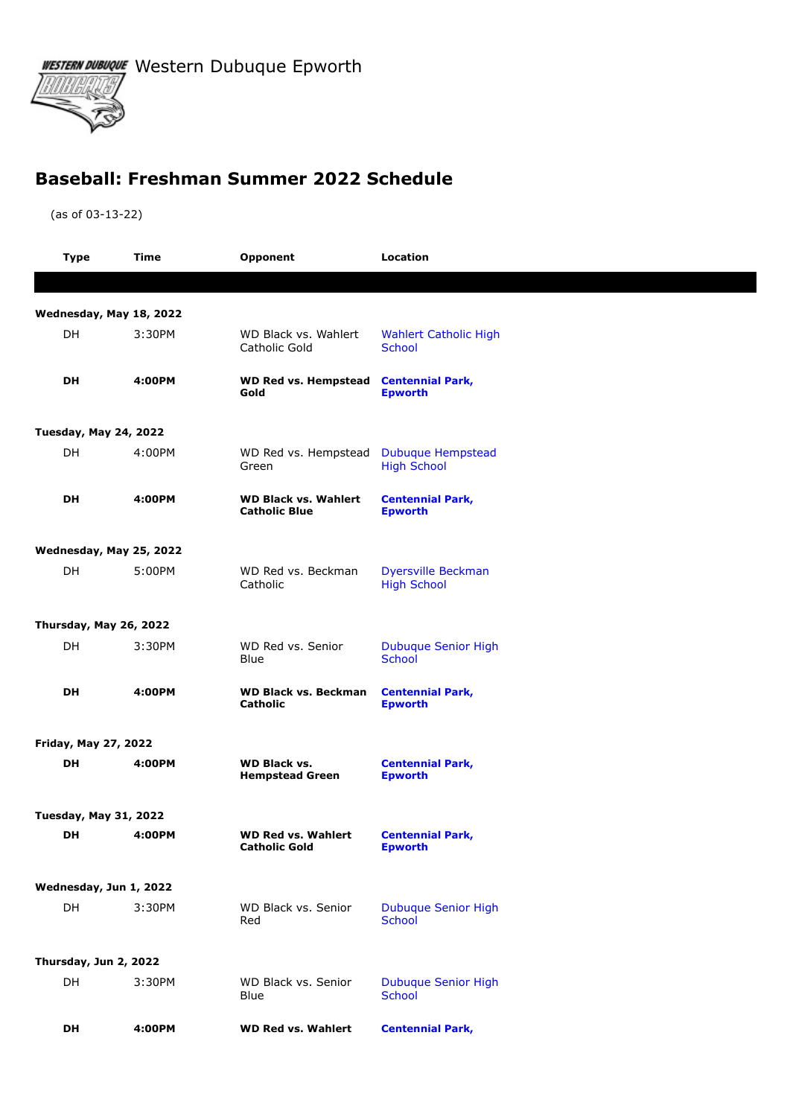WESTERN DUBUQUE Western Dubuque Epworth



## **Baseball: Freshman Summer 2022 Schedule**

(as of 03-13-22)

| <b>Type</b>                  | Time                    | Opponent                                            | <b>Location</b>                                 |  |  |  |
|------------------------------|-------------------------|-----------------------------------------------------|-------------------------------------------------|--|--|--|
|                              |                         |                                                     |                                                 |  |  |  |
|                              | Wednesday, May 18, 2022 |                                                     |                                                 |  |  |  |
| DH                           | 3:30PM                  | WD Black vs. Wahlert<br>Catholic Gold               | <b>Wahlert Catholic High</b><br><b>School</b>   |  |  |  |
| DH                           | 4:00PM                  | <b>WD Red vs. Hempstead</b><br>Gold                 | <b>Centennial Park,</b><br><b>Epworth</b>       |  |  |  |
| <b>Tuesday, May 24, 2022</b> |                         |                                                     |                                                 |  |  |  |
| DH                           | 4:00PM                  | WD Red vs. Hempstead<br>Green                       | <b>Dubuque Hempstead</b><br><b>High School</b>  |  |  |  |
| DH                           | 4:00PM                  | <b>WD Black vs. Wahlert</b><br><b>Catholic Blue</b> | <b>Centennial Park,</b><br><b>Epworth</b>       |  |  |  |
|                              | Wednesday, May 25, 2022 |                                                     |                                                 |  |  |  |
| DH                           | 5:00PM                  | WD Red vs. Beckman<br>Catholic                      | <b>Dyersville Beckman</b><br><b>High School</b> |  |  |  |
|                              | Thursday, May 26, 2022  |                                                     |                                                 |  |  |  |
| DH                           | 3:30PM                  | WD Red vs. Senior<br>Blue                           | <b>Dubuque Senior High</b><br><b>School</b>     |  |  |  |
| <b>DH</b>                    | 4:00PM                  | <b>WD Black vs. Beckman</b><br>Catholic             | <b>Centennial Park,</b><br><b>Epworth</b>       |  |  |  |
| <b>Friday, May 27, 2022</b>  |                         |                                                     |                                                 |  |  |  |
| DH                           | 4:00PM                  | <b>WD Black vs.</b><br><b>Hempstead Green</b>       | <b>Centennial Park,</b><br><b>Epworth</b>       |  |  |  |
| <b>Tuesday, May 31, 2022</b> |                         |                                                     |                                                 |  |  |  |
| <b>DH</b>                    | 4:00PM                  | <b>WD Red vs. Wahlert</b><br><b>Catholic Gold</b>   | <b>Centennial Park,</b><br><b>Epworth</b>       |  |  |  |
| Wednesday, Jun 1, 2022       |                         |                                                     |                                                 |  |  |  |
| DH                           | 3:30PM                  | WD Black vs. Senior<br>Red                          | <b>Dubuque Senior High</b><br>School            |  |  |  |
|                              | Thursday, Jun 2, 2022   |                                                     |                                                 |  |  |  |
| DH                           | 3:30PM                  | WD Black vs. Senior<br>Blue                         | <b>Dubuque Senior High</b><br>School            |  |  |  |
| DH                           | 4:00PM                  | <b>WD Red vs. Wahlert</b>                           | <b>Centennial Park,</b>                         |  |  |  |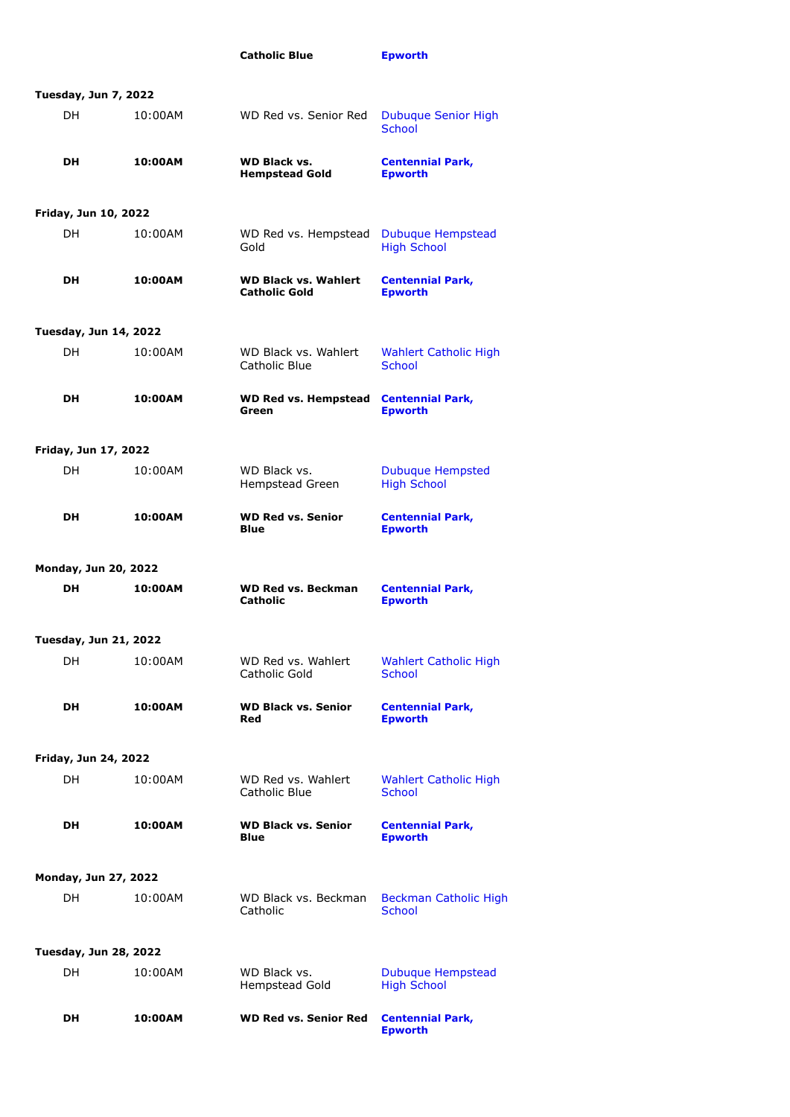|                              |         | <b>Catholic Blue</b>                                | <b>Epworth</b>                                |  |  |  |  |
|------------------------------|---------|-----------------------------------------------------|-----------------------------------------------|--|--|--|--|
| <b>Tuesday, Jun 7, 2022</b>  |         |                                                     |                                               |  |  |  |  |
| DH.                          | 10:00AM | WD Red vs. Senior Red                               | <b>Dubuque Senior High</b><br><b>School</b>   |  |  |  |  |
| DH.                          | 10:00AM | <b>WD Black vs.</b><br><b>Hempstead Gold</b>        | <b>Centennial Park,</b><br><b>Epworth</b>     |  |  |  |  |
| Friday, Jun 10, 2022         |         |                                                     |                                               |  |  |  |  |
| DH.                          | 10:00AM | WD Red vs. Hempstead<br>Gold                        | Dubuque Hempstead<br><b>High School</b>       |  |  |  |  |
| DH.                          | 10:00AM | <b>WD Black vs. Wahlert</b><br><b>Catholic Gold</b> | <b>Centennial Park,</b><br><b>Epworth</b>     |  |  |  |  |
| <b>Tuesday, Jun 14, 2022</b> |         |                                                     |                                               |  |  |  |  |
| DH.                          | 10:00AM | WD Black vs. Wahlert<br>Catholic Blue               | <b>Wahlert Catholic High</b><br>School        |  |  |  |  |
| DH                           | 10:00AM | <b>WD Red vs. Hempstead</b><br>Green                | <b>Centennial Park,</b><br><b>Epworth</b>     |  |  |  |  |
| Friday, Jun 17, 2022         |         |                                                     |                                               |  |  |  |  |
| DH.                          | 10:00AM | WD Black vs.<br>Hempstead Green                     | Dubuque Hempsted<br><b>High School</b>        |  |  |  |  |
| <b>DH</b>                    | 10:00AM | <b>WD Red vs. Senior</b><br><b>Blue</b>             | <b>Centennial Park,</b><br><b>Epworth</b>     |  |  |  |  |
| Monday, Jun 20, 2022         |         |                                                     |                                               |  |  |  |  |
| <b>DH</b>                    | 10:00AM | <b>WD Red vs. Beckman</b><br>Catholic               | <b>Centennial Park,</b><br><b>Epworth</b>     |  |  |  |  |
| <b>Tuesday, Jun 21, 2022</b> |         |                                                     |                                               |  |  |  |  |
| DH.                          | 10:00AM | WD Red vs. Wahlert<br>Catholic Gold                 | <b>Wahlert Catholic High</b><br><b>School</b> |  |  |  |  |
| <b>DH</b>                    | 10:00AM | <b>WD Black vs. Senior</b><br>Red                   | <b>Centennial Park,</b><br><b>Epworth</b>     |  |  |  |  |
| Friday, Jun 24, 2022         |         |                                                     |                                               |  |  |  |  |
| DH.                          | 10:00AM | WD Red vs. Wahlert<br>Catholic Blue                 | <b>Wahlert Catholic High</b><br><b>School</b> |  |  |  |  |
| DH.                          | 10:00AM | <b>WD Black vs. Senior</b><br><b>Blue</b>           | <b>Centennial Park,</b><br><b>Epworth</b>     |  |  |  |  |
| Monday, Jun 27, 2022         |         |                                                     |                                               |  |  |  |  |
| DH.                          | 10:00AM | WD Black vs. Beckman<br>Catholic                    | <b>Beckman Catholic High</b><br><b>School</b> |  |  |  |  |
| <b>Tuesday, Jun 28, 2022</b> |         |                                                     |                                               |  |  |  |  |
| DH.                          | 10:00AM | WD Black vs.<br>Hempstead Gold                      | Dubuque Hempstead<br><b>High School</b>       |  |  |  |  |
| DH.                          | 10:00AM | <b>WD Red vs. Senior Red</b>                        | <b>Centennial Park,</b><br><b>Epworth</b>     |  |  |  |  |